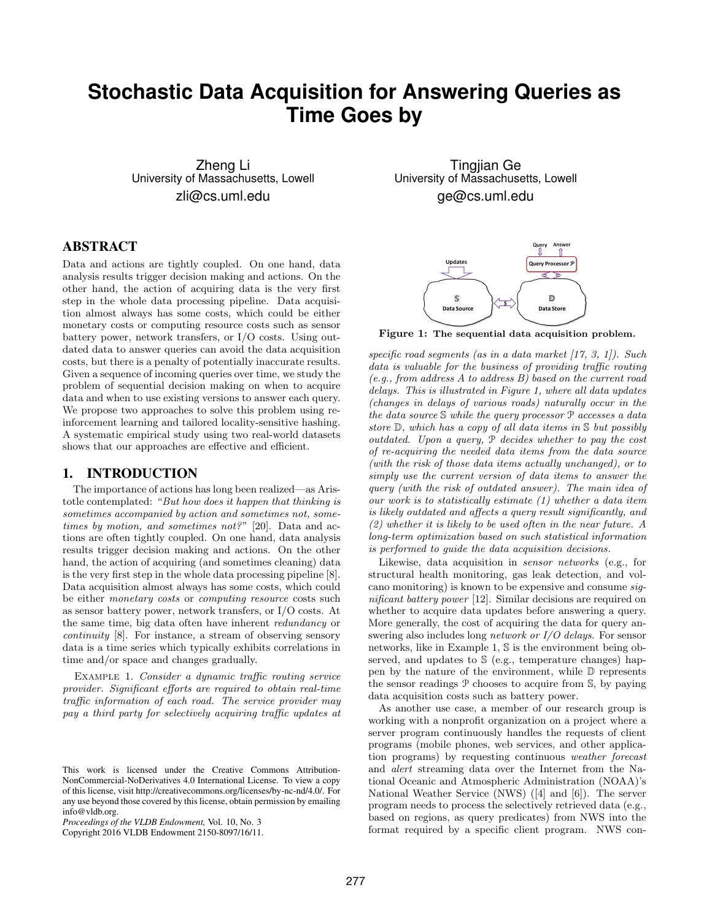# **Stochastic Data Acquisition for Answering Queries as Time Goes by**

Zheng Li University of Massachusetts, Lowell zli@cs.uml.edu

# ABSTRACT

Data and actions are tightly coupled. On one hand, data analysis results trigger decision making and actions. On the other hand, the action of acquiring data is the very first step in the whole data processing pipeline. Data acquisition almost always has some costs, which could be either monetary costs or computing resource costs such as sensor battery power, network transfers, or I/O costs. Using outdated data to answer queries can avoid the data acquisition costs, but there is a penalty of potentially inaccurate results. Given a sequence of incoming queries over time, we study the problem of sequential decision making on when to acquire data and when to use existing versions to answer each query. We propose two approaches to solve this problem using reinforcement learning and tailored locality-sensitive hashing. A systematic empirical study using two real-world datasets shows that our approaches are effective and efficient.

## 1. INTRODUCTION

The importance of actions has long been realized—as Aristotle contemplated: "But how does it happen that thinking is sometimes accompanied by action and sometimes not, sometimes by motion, and sometimes not?" [20]. Data and actions are often tightly coupled. On one hand, data analysis results trigger decision making and actions. On the other hand, the action of acquiring (and sometimes cleaning) data is the very first step in the whole data processing pipeline [8]. Data acquisition almost always has some costs, which could be either *monetary costs* or *computing resource* costs such as sensor battery power, network transfers, or I/O costs. At the same time, big data often have inherent redundancy or continuity [8]. For instance, a stream of observing sensory data is a time series which typically exhibits correlations in time and/or space and changes gradually.

Example 1. Consider a dynamic traffic routing service provider. Significant efforts are required to obtain real-time traffic information of each road. The service provider may pay a third party for selectively acquiring traffic updates at

Copyright 2016 VLDB Endowment 2150-8097/16/11.

Tingjian Ge University of Massachusetts, Lowell ge@cs.uml.edu



Figure 1: The sequential data acquisition problem.

specific road segments (as in a data market [17, 3, 1]). Such data is valuable for the business of providing traffic routing (e.g., from address A to address B) based on the current road delays. This is illustrated in Figure 1, where all data updates (changes in delays of various roads) naturally occur in the the data source S while the query processor P accesses a data store  $\mathbb{D}$ , which has a copy of all data items in  $\mathbb{S}$  but possibly outdated. Upon a query, P decides whether to pay the cost of re-acquiring the needed data items from the data source (with the risk of those data items actually unchanged), or to simply use the current version of data items to answer the query (with the risk of outdated answer). The main idea of our work is to statistically estimate (1) whether a data item is likely outdated and affects a query result significantly, and (2) whether it is likely to be used often in the near future. A long-term optimization based on such statistical information is performed to guide the data acquisition decisions.

Likewise, data acquisition in sensor networks (e.g., for structural health monitoring, gas leak detection, and volcano monitoring) is known to be expensive and consume significant battery power [12]. Similar decisions are required on whether to acquire data updates before answering a query. More generally, the cost of acquiring the data for query answering also includes long network or I/O delays. For sensor networks, like in Example 1, S is the environment being observed, and updates to S (e.g., temperature changes) happen by the nature of the environment, while D represents the sensor readings P chooses to acquire from S, by paying data acquisition costs such as battery power.

As another use case, a member of our research group is working with a nonprofit organization on a project where a server program continuously handles the requests of client programs (mobile phones, web services, and other application programs) by requesting continuous weather forecast and alert streaming data over the Internet from the National Oceanic and Atmospheric Administration (NOAA)'s National Weather Service (NWS) ([4] and [6]). The server program needs to process the selectively retrieved data (e.g., based on regions, as query predicates) from NWS into the format required by a specific client program. NWS con-

This work is licensed under the Creative Commons Attribution-NonCommercial-NoDerivatives 4.0 International License. To view a copy of this license, visit http://creativecommons.org/licenses/by-nc-nd/4.0/. For any use beyond those covered by this license, obtain permission by emailing info@vldb.org.

*Proceedings of the VLDB Endowment,* Vol. 10, No. 3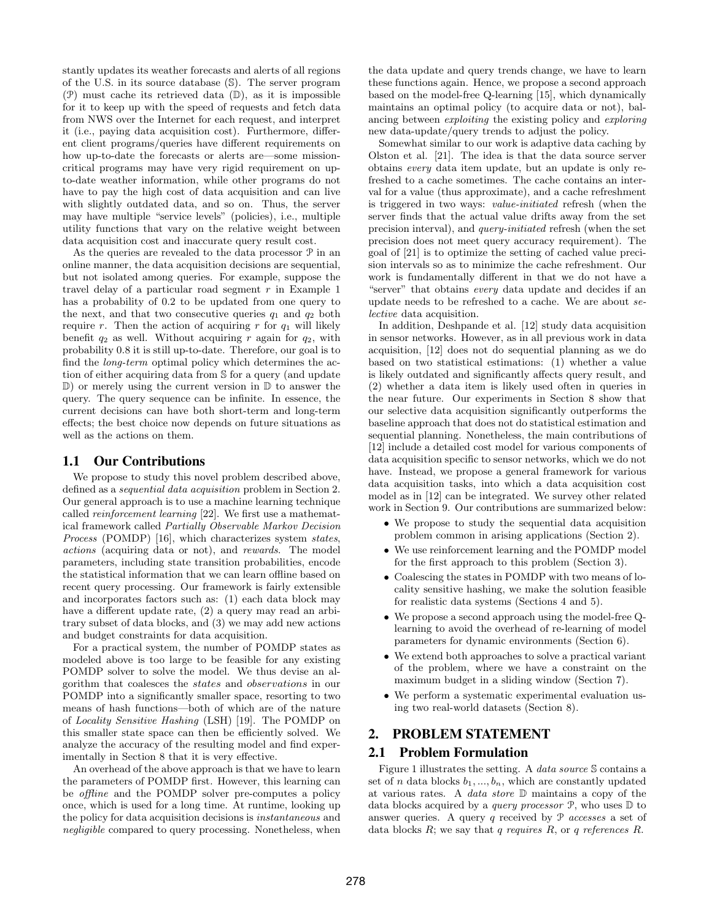stantly updates its weather forecasts and alerts of all regions of the U.S. in its source database (S). The server program  $(\mathcal{P})$  must cache its retrieved data  $(\mathbb{D})$ , as it is impossible for it to keep up with the speed of requests and fetch data from NWS over the Internet for each request, and interpret it (i.e., paying data acquisition cost). Furthermore, different client programs/queries have different requirements on how up-to-date the forecasts or alerts are—some missioncritical programs may have very rigid requirement on upto-date weather information, while other programs do not have to pay the high cost of data acquisition and can live with slightly outdated data, and so on. Thus, the server may have multiple "service levels" (policies), i.e., multiple utility functions that vary on the relative weight between data acquisition cost and inaccurate query result cost.

As the queries are revealed to the data processor  $\mathcal{P}$  in an online manner, the data acquisition decisions are sequential, but not isolated among queries. For example, suppose the travel delay of a particular road segment  $r$  in Example 1 has a probability of 0.2 to be updated from one query to the next, and that two consecutive queries  $q_1$  and  $q_2$  both require r. Then the action of acquiring r for  $q_1$  will likely benefit  $q_2$  as well. Without acquiring r again for  $q_2$ , with probability 0.8 it is still up-to-date. Therefore, our goal is to find the long-term optimal policy which determines the action of either acquiring data from S for a query (and update  $\mathbb{D}$ ) or merely using the current version in  $\mathbb{D}$  to answer the query. The query sequence can be infinite. In essence, the current decisions can have both short-term and long-term effects; the best choice now depends on future situations as well as the actions on them.

#### 1.1 Our Contributions

We propose to study this novel problem described above, defined as a sequential data acquisition problem in Section 2. Our general approach is to use a machine learning technique called reinforcement learning [22]. We first use a mathematical framework called Partially Observable Markov Decision Process (POMDP) [16], which characterizes system states, actions (acquiring data or not), and rewards. The model parameters, including state transition probabilities, encode the statistical information that we can learn offline based on recent query processing. Our framework is fairly extensible and incorporates factors such as: (1) each data block may have a different update rate, (2) a query may read an arbitrary subset of data blocks, and (3) we may add new actions and budget constraints for data acquisition.

For a practical system, the number of POMDP states as modeled above is too large to be feasible for any existing POMDP solver to solve the model. We thus devise an algorithm that coalesces the states and observations in our POMDP into a significantly smaller space, resorting to two means of hash functions—both of which are of the nature of Locality Sensitive Hashing (LSH) [19]. The POMDP on this smaller state space can then be efficiently solved. We analyze the accuracy of the resulting model and find experimentally in Section 8 that it is very effective.

An overhead of the above approach is that we have to learn the parameters of POMDP first. However, this learning can be offline and the POMDP solver pre-computes a policy once, which is used for a long time. At runtime, looking up the policy for data acquisition decisions is instantaneous and negligible compared to query processing. Nonetheless, when the data update and query trends change, we have to learn these functions again. Hence, we propose a second approach based on the model-free Q-learning [15], which dynamically maintains an optimal policy (to acquire data or not), balancing between exploiting the existing policy and exploring new data-update/query trends to adjust the policy.

Somewhat similar to our work is adaptive data caching by Olston et al. [21]. The idea is that the data source server obtains every data item update, but an update is only refreshed to a cache sometimes. The cache contains an interval for a value (thus approximate), and a cache refreshment is triggered in two ways: value-initiated refresh (when the server finds that the actual value drifts away from the set precision interval), and query-initiated refresh (when the set precision does not meet query accuracy requirement). The goal of [21] is to optimize the setting of cached value precision intervals so as to minimize the cache refreshment. Our work is fundamentally different in that we do not have a "server" that obtains every data update and decides if an update needs to be refreshed to a cache. We are about selective data acquisition.

In addition, Deshpande et al. [12] study data acquisition in sensor networks. However, as in all previous work in data acquisition, [12] does not do sequential planning as we do based on two statistical estimations: (1) whether a value is likely outdated and significantly affects query result, and (2) whether a data item is likely used often in queries in the near future. Our experiments in Section 8 show that our selective data acquisition significantly outperforms the baseline approach that does not do statistical estimation and sequential planning. Nonetheless, the main contributions of [12] include a detailed cost model for various components of data acquisition specific to sensor networks, which we do not have. Instead, we propose a general framework for various data acquisition tasks, into which a data acquisition cost model as in [12] can be integrated. We survey other related work in Section 9. Our contributions are summarized below:

- We propose to study the sequential data acquisition problem common in arising applications (Section 2).
- We use reinforcement learning and the POMDP model for the first approach to this problem (Section 3).
- Coalescing the states in POMDP with two means of locality sensitive hashing, we make the solution feasible for realistic data systems (Sections 4 and 5).
- We propose a second approach using the model-free Qlearning to avoid the overhead of re-learning of model parameters for dynamic environments (Section 6).
- We extend both approaches to solve a practical variant of the problem, where we have a constraint on the maximum budget in a sliding window (Section 7).
- We perform a systematic experimental evaluation using two real-world datasets (Section 8).

# 2. PROBLEM STATEMENT

#### 2.1 Problem Formulation

Figure 1 illustrates the setting. A data source S contains a set of n data blocks  $b_1, ..., b_n$ , which are constantly updated at various rates. A data store D maintains a copy of the data blocks acquired by a *query processor*  $P$ , who uses  $D$  to answer queries. A query q received by  $P$  accesses a set of data blocks  $R$ ; we say that  $q$  requires  $R$ , or  $q$  references  $R$ .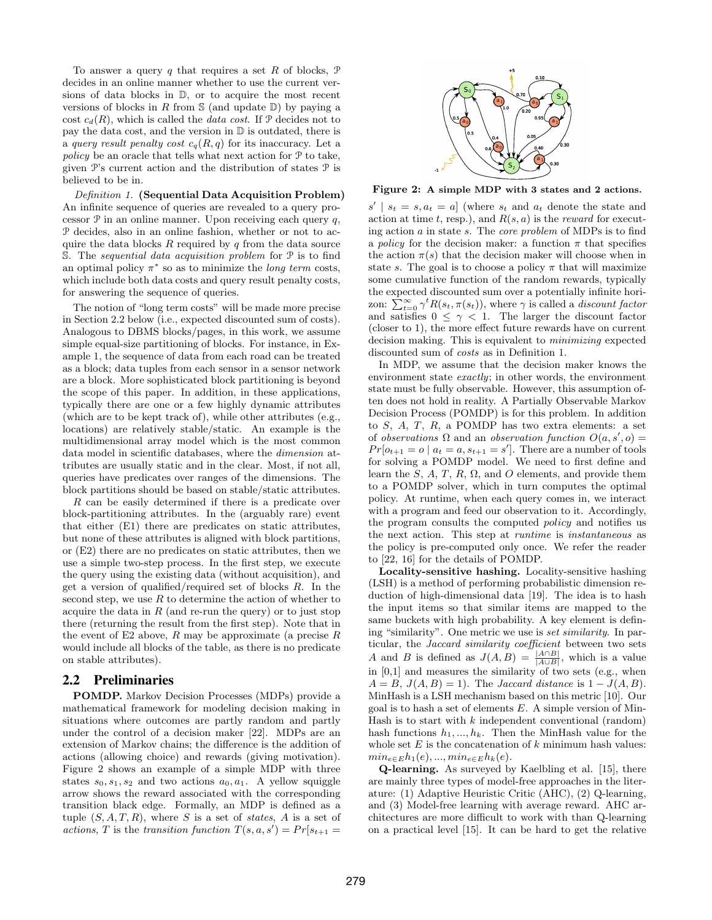To answer a query q that requires a set R of blocks,  $P$ decides in an online manner whether to use the current versions of data blocks in D, or to acquire the most recent versions of blocks in R from  $S$  (and update  $D$ ) by paying a cost  $c_d(R)$ , which is called the *data cost*. If  $P$  decides not to pay the data cost, and the version in  $\mathbb D$  is outdated, there is a query result penalty cost  $c_q(R, q)$  for its inaccuracy. Let a policy be an oracle that tells what next action for  $P$  to take, given P's current action and the distribution of states P is believed to be in.

Definition 1. (Sequential Data Acquisition Problem) An infinite sequence of queries are revealed to a query processor  $P$  in an online manner. Upon receiving each query  $q$ , P decides, also in an online fashion, whether or not to acquire the data blocks  $R$  required by  $q$  from the data source S. The sequential data acquisition problem for P is to find an optimal policy  $\pi^*$  so as to minimize the *long term* costs, which include both data costs and query result penalty costs, for answering the sequence of queries.

The notion of "long term costs" will be made more precise in Section 2.2 below (i.e., expected discounted sum of costs). Analogous to DBMS blocks/pages, in this work, we assume simple equal-size partitioning of blocks. For instance, in Example 1, the sequence of data from each road can be treated as a block; data tuples from each sensor in a sensor network are a block. More sophisticated block partitioning is beyond the scope of this paper. In addition, in these applications, typically there are one or a few highly dynamic attributes (which are to be kept track of), while other attributes (e.g., locations) are relatively stable/static. An example is the multidimensional array model which is the most common data model in scientific databases, where the dimension attributes are usually static and in the clear. Most, if not all, queries have predicates over ranges of the dimensions. The block partitions should be based on stable/static attributes.

R can be easily determined if there is a predicate over block-partitioning attributes. In the (arguably rare) event that either (E1) there are predicates on static attributes, but none of these attributes is aligned with block partitions, or (E2) there are no predicates on static attributes, then we use a simple two-step process. In the first step, we execute the query using the existing data (without acquisition), and get a version of qualified/required set of blocks  $R$ . In the second step, we use  $R$  to determine the action of whether to acquire the data in  $R$  (and re-run the query) or to just stop there (returning the result from the first step). Note that in the event of E2 above,  $R$  may be approximate (a precise  $R$ would include all blocks of the table, as there is no predicate on stable attributes).

#### 2.2 Preliminaries

POMDP. Markov Decision Processes (MDPs) provide a mathematical framework for modeling decision making in situations where outcomes are partly random and partly under the control of a decision maker [22]. MDPs are an extension of Markov chains; the difference is the addition of actions (allowing choice) and rewards (giving motivation). Figure 2 shows an example of a simple MDP with three states  $s_0, s_1, s_2$  and two actions  $a_0, a_1$ . A yellow squiggle arrow shows the reward associated with the corresponding transition black edge. Formally, an MDP is defined as a tuple  $(S, A, T, R)$ , where S is a set of states, A is a set of actions, T is the transition function  $T(s, a, s') = Pr[s_{t+1} =$ 



Figure 2: A simple MDP with 3 states and 2 actions.

 $s' | s_t = s, a_t = a$  (where  $s_t$  and  $a_t$  denote the state and action at time t, resp.), and  $R(s, a)$  is the reward for executing action  $a$  in state  $s$ . The *core problem* of MDPs is to find a *policy* for the decision maker: a function  $\pi$  that specifies the action  $\pi(s)$  that the decision maker will choose when in state s. The goal is to choose a policy  $\pi$  that will maximize some cumulative function of the random rewards, typically the expected discounted sum over a potentially infinite horizon:  $\sum_{t=0}^{\infty} \gamma^t R(s_t, \pi(s_t)),$  where  $\gamma$  is called a *discount factor* and satisfies  $0 \leq \gamma < 1$ . The larger the discount factor (closer to 1), the more effect future rewards have on current decision making. This is equivalent to *minimizing* expected discounted sum of costs as in Definition 1.

In MDP, we assume that the decision maker knows the environment state exactly; in other words, the environment state must be fully observable. However, this assumption often does not hold in reality. A Partially Observable Markov Decision Process (POMDP) is for this problem. In addition to  $S$ ,  $A$ ,  $T$ ,  $R$ , a POMDP has two extra elements: a set of observations  $\Omega$  and an observation function  $O(a, s', o) =$  $Pr[o_{t+1} = o \mid a_t = a, s_{t+1} = s']$ . There are a number of tools for solving a POMDP model. We need to first define and learn the S, A, T, R,  $\Omega$ , and O elements, and provide them to a POMDP solver, which in turn computes the optimal policy. At runtime, when each query comes in, we interact with a program and feed our observation to it. Accordingly, the program consults the computed policy and notifies us the next action. This step at runtime is instantaneous as the policy is pre-computed only once. We refer the reader to [22, 16] for the details of POMDP.

Locality-sensitive hashing. Locality-sensitive hashing (LSH) is a method of performing probabilistic dimension reduction of high-dimensional data [19]. The idea is to hash the input items so that similar items are mapped to the same buckets with high probability. A key element is defining "similarity". One metric we use is set similarity. In particular, the Jaccard similarity coefficient between two sets A and B is defined as  $J(A, B) = \frac{|A \cap B|}{|A \cup B|}$ , which is a value in  $[0,1]$  and measures the similarity of two sets (e.g., when  $A = B$ ,  $J(A, B) = 1$ ). The *Jaccard distance* is  $1 - J(A, B)$ . MinHash is a LSH mechanism based on this metric [10]. Our goal is to hash a set of elements  $E$ . A simple version of Min-Hash is to start with  $k$  independent conventional (random) hash functions  $h_1, ..., h_k$ . Then the MinHash value for the whole set  $E$  is the concatenation of  $k$  minimum hash values:  $min_{e \in E} h_1(e), ..., min_{e \in E} h_k(e).$ 

Q-learning. As surveyed by Kaelbling et al. [15], there are mainly three types of model-free approaches in the literature: (1) Adaptive Heuristic Critic (AHC), (2) Q-learning, and (3) Model-free learning with average reward. AHC architectures are more difficult to work with than Q-learning on a practical level [15]. It can be hard to get the relative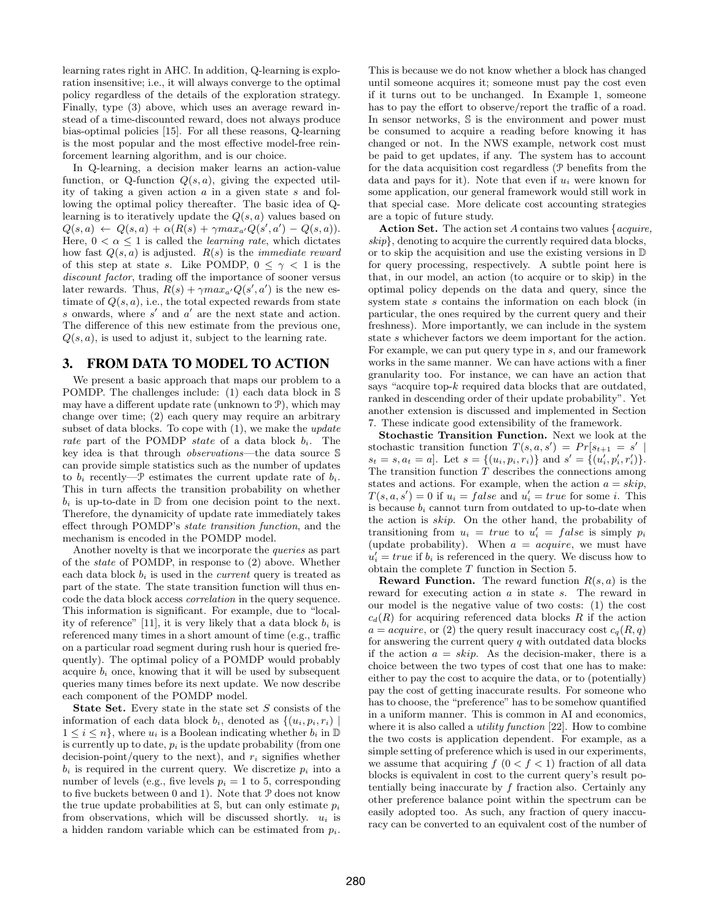learning rates right in AHC. In addition, Q-learning is exploration insensitive; i.e., it will always converge to the optimal policy regardless of the details of the exploration strategy. Finally, type (3) above, which uses an average reward instead of a time-discounted reward, does not always produce bias-optimal policies [15]. For all these reasons, Q-learning is the most popular and the most effective model-free reinforcement learning algorithm, and is our choice.

In Q-learning, a decision maker learns an action-value function, or Q-function  $Q(s, a)$ , giving the expected utility of taking a given action  $a$  in a given state  $s$  and following the optimal policy thereafter. The basic idea of Qlearning is to iteratively update the  $Q(s, a)$  values based on  $Q(s, a) \leftarrow Q(s, a) + \alpha(R(s) + \gamma max_{a'} Q(s', a') - Q(s, a)).$ Here,  $0 < \alpha \leq 1$  is called the *learning rate*, which dictates how fast  $Q(s, a)$  is adjusted.  $R(s)$  is the *immediate reward* of this step at state s. Like POMDP,  $0 \leq \gamma < 1$  is the discount factor, trading off the importance of sooner versus later rewards. Thus,  $R(s) + \gamma max_{a'} Q(s', a')$  is the new estimate of  $Q(s, a)$ , i.e., the total expected rewards from state s onwards, where  $s'$  and  $a'$  are the next state and action. The difference of this new estimate from the previous one,  $Q(s, a)$ , is used to adjust it, subject to the learning rate.

# 3. FROM DATA TO MODEL TO ACTION

We present a basic approach that maps our problem to a POMDP. The challenges include: (1) each data block in S may have a different update rate (unknown to  $P$ ), which may change over time; (2) each query may require an arbitrary subset of data blocks. To cope with  $(1)$ , we make the *update* rate part of the POMDP state of a data block  $b_i$ . The key idea is that through observations—the data source S can provide simple statistics such as the number of updates to  $b_i$  recently— $\mathcal P$  estimates the current update rate of  $b_i$ . This in turn affects the transition probability on whether  $b_i$  is up-to-date in  $\mathbb D$  from one decision point to the next. Therefore, the dynamicity of update rate immediately takes effect through POMDP's state transition function, and the mechanism is encoded in the POMDP model.

Another novelty is that we incorporate the queries as part of the state of POMDP, in response to (2) above. Whether each data block  $b_i$  is used in the *current* query is treated as part of the state. The state transition function will thus encode the data block access correlation in the query sequence. This information is significant. For example, due to "locality of reference" [11], it is very likely that a data block  $b_i$  is referenced many times in a short amount of time (e.g., traffic on a particular road segment during rush hour is queried frequently). The optimal policy of a POMDP would probably acquire  $b_i$  once, knowing that it will be used by subsequent queries many times before its next update. We now describe each component of the POMDP model.

**State Set.** Every state in the state set  $S$  consists of the information of each data block  $b_i$ , denoted as  $\{(u_i, p_i, r_i) \mid$  $1 \leq i \leq n$ , where  $u_i$  is a Boolean indicating whether  $b_i$  in  $\mathbb D$ is currently up to date,  $p_i$  is the update probability (from one decision-point/query to the next), and  $r_i$  signifies whether  $b_i$  is required in the current query. We discretize  $p_i$  into a number of levels (e.g., five levels  $p_i = 1$  to 5, corresponding to five buckets between 0 and 1). Note that P does not know the true update probabilities at  $\mathcal{S}$ , but can only estimate  $p_i$ from observations, which will be discussed shortly.  $u_i$  is a hidden random variable which can be estimated from  $p_i$ . This is because we do not know whether a block has changed until someone acquires it; someone must pay the cost even if it turns out to be unchanged. In Example 1, someone has to pay the effort to observe/report the traffic of a road. In sensor networks, S is the environment and power must be consumed to acquire a reading before knowing it has changed or not. In the NWS example, network cost must be paid to get updates, if any. The system has to account for the data acquisition cost regardless (P benefits from the data and pays for it). Note that even if  $u_i$  were known for some application, our general framework would still work in that special case. More delicate cost accounting strategies are a topic of future study.

Action Set. The action set  $A$  contains two values {*acquire*,  $skip$ }, denoting to acquire the currently required data blocks, or to skip the acquisition and use the existing versions in D for query processing, respectively. A subtle point here is that, in our model, an action (to acquire or to skip) in the optimal policy depends on the data and query, since the system state s contains the information on each block (in particular, the ones required by the current query and their freshness). More importantly, we can include in the system state s whichever factors we deem important for the action. For example, we can put query type in s, and our framework works in the same manner. We can have actions with a finer granularity too. For instance, we can have an action that says "acquire top-k required data blocks that are outdated, ranked in descending order of their update probability". Yet another extension is discussed and implemented in Section 7. These indicate good extensibility of the framework.

Stochastic Transition Function. Next we look at the stochastic transition function  $T(s, a, s') = Pr[s_{t+1} = s' |$  $s_t = s, a_t = a$ . Let  $s = \{(u_i, p_i, r_i)\}\$ and  $s' = \{(u'_i, p'_i, r'_i)\}.$ The transition function  $T$  describes the connections among states and actions. For example, when the action  $a = skip$ ,  $T(s, a, s') = 0$  if  $u_i = false$  and  $u'_i = true$  for some *i*. This is because  $b_i$  cannot turn from outdated to up-to-date when the action is skip. On the other hand, the probability of transitioning from  $u_i = true$  to  $u'_i = false$  is simply  $p_i$ (update probability). When  $a = acquire$ , we must have  $u'_{i} = true$  if  $b_{i}$  is referenced in the query. We discuss how to obtain the complete  $T$  function in Section 5.

**Reward Function.** The reward function  $R(s, a)$  is the reward for executing action a in state s. The reward in our model is the negative value of two costs: (1) the cost  $c_d(R)$  for acquiring referenced data blocks R if the action  $a = acquire,$  or (2) the query result inaccuracy cost  $c_q(R, q)$ for answering the current query  $q$  with outdated data blocks if the action  $a = skip$ . As the decision-maker, there is a choice between the two types of cost that one has to make: either to pay the cost to acquire the data, or to (potentially) pay the cost of getting inaccurate results. For someone who has to choose, the "preference" has to be somehow quantified in a uniform manner. This is common in AI and economics, where it is also called a *utility function* [22]. How to combine the two costs is application dependent. For example, as a simple setting of preference which is used in our experiments, we assume that acquiring  $f(0 < f < 1)$  fraction of all data blocks is equivalent in cost to the current query's result potentially being inaccurate by f fraction also. Certainly any other preference balance point within the spectrum can be easily adopted too. As such, any fraction of query inaccuracy can be converted to an equivalent cost of the number of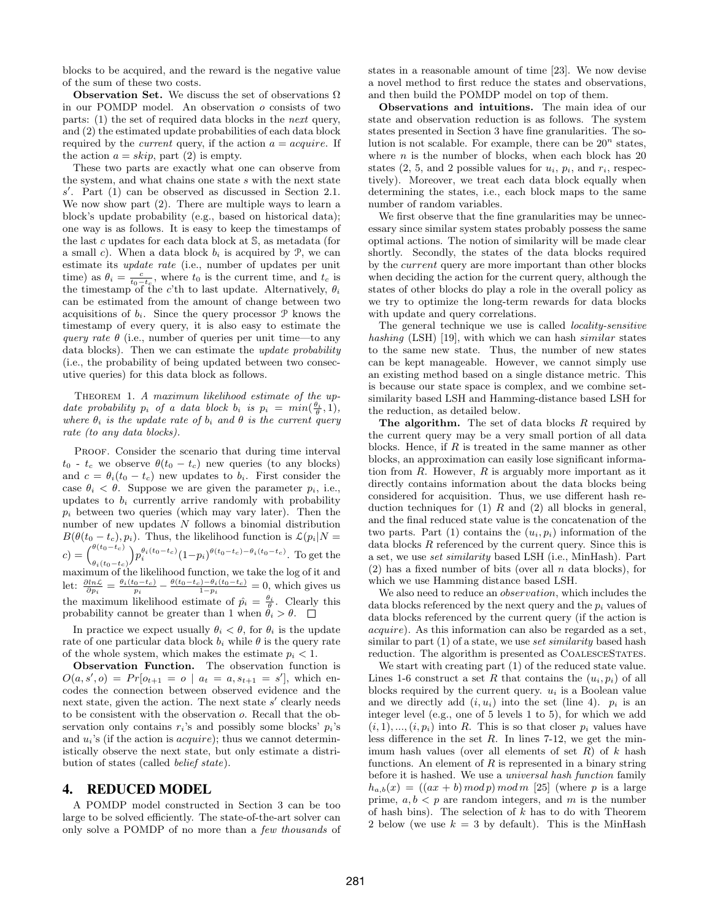blocks to be acquired, and the reward is the negative value of the sum of these two costs.

Observation Set. We discuss the set of observations  $\Omega$ in our POMDP model. An observation o consists of two parts: (1) the set of required data blocks in the next query, and (2) the estimated update probabilities of each data block required by the *current* query, if the action  $a = acquire$ . If the action  $a = skip$ , part (2) is empty.

These two parts are exactly what one can observe from the system, and what chains one state s with the next state  $s'$ . Part (1) can be observed as discussed in Section 2.1. We now show part (2). There are multiple ways to learn a block's update probability (e.g., based on historical data); one way is as follows. It is easy to keep the timestamps of the last c updates for each data block at S, as metadata (for a small c). When a data block  $b_i$  is acquired by  $\mathcal{P}$ , we can estimate its update rate (i.e., number of updates per unit time) as  $\theta_i = \frac{c}{t_0 - t_c}$ , where  $t_0$  is the current time, and  $t_c$  is the timestamp of the c'th to last update. Alternatively,  $\theta_i$ can be estimated from the amount of change between two acquisitions of  $b_i$ . Since the query processor  $\mathcal P$  knows the timestamp of every query, it is also easy to estimate the query rate  $\theta$  (i.e., number of queries per unit time—to any data blocks). Then we can estimate the *update probability* (i.e., the probability of being updated between two consecutive queries) for this data block as follows.

THEOREM 1. A maximum likelihood estimate of the update probability  $p_i$  of a data block  $b_i$  is  $p_i = min(\frac{\theta_i}{\theta}, 1)$ , where  $\theta_i$  is the update rate of  $b_i$  and  $\theta$  is the current query rate (to any data blocks).

PROOF. Consider the scenario that during time interval  $t_0$  -  $t_c$  we observe  $\theta(t_0 - t_c)$  new queries (to any blocks) and  $c = \theta_i(t_0 - t_c)$  new updates to  $b_i$ . First consider the case  $\theta_i < \theta$ . Suppose we are given the parameter  $p_i$ , i.e., updates to  $b_i$  currently arrive randomly with probability  $p_i$  between two queries (which may vary later). Then the number of new updates N follows a binomial distribution  $B(\theta(t_0-t_c), p_i)$ . Thus, the likelihood function is  $\mathcal{L}(p_i|N=$  $c) = \begin{pmatrix} \theta(t_0 - t_c) \\ \theta_i(t_0 - t_c) \end{pmatrix}$  $\Big)p_i^{\theta_i(t_0-t_c)}(1-p_i)^{\theta(t_0-t_c)-\theta_i(t_0-t_c)}$ . To get the maximum of the likelihood function, we take the log of it and let:  $\frac{\partial ln \mathcal{L}}{\partial p_i} = \frac{\theta_i(t_0 - t_c)}{p_i} - \frac{\theta(t_0 - t_c) - \theta_i(t_0 - t_c)}{1 - p_i} = 0$ , which gives us the maximum likelihood estimate of  $\hat{p}_i = \frac{\theta_i}{\theta}$ . Clearly this probability cannot be greater than 1 when  $\ddot{\theta}_i > \theta$ .  $\Box$ 

In practice we expect usually  $\theta_i < \theta$ , for  $\theta_i$  is the update rate of one particular data block  $b_i$  while  $\theta$  is the query rate of the whole system, which makes the estimate  $p_i < 1$ .

Observation Function. The observation function is  $O(a, s', o) = Pr[*o*<sub>t+1</sub> = *o* | *a*<sub>t</sub> = *a*, *s*<sub>t+1</sub> = *s*'], which en$ codes the connection between observed evidence and the next state, given the action. The next state  $s'$  clearly needs to be consistent with the observation o. Recall that the observation only contains  $r_i$ 's and possibly some blocks'  $p_i$ 's and  $u_i$ 's (if the action is *acquire*); thus we cannot deterministically observe the next state, but only estimate a distribution of states (called belief state).

#### 4. REDUCED MODEL

A POMDP model constructed in Section 3 can be too large to be solved efficiently. The state-of-the-art solver can only solve a POMDP of no more than a few thousands of states in a reasonable amount of time [23]. We now devise a novel method to first reduce the states and observations, and then build the POMDP model on top of them.

Observations and intuitions. The main idea of our state and observation reduction is as follows. The system states presented in Section 3 have fine granularities. The solution is not scalable. For example, there can be  $20^n$  states, where  $n$  is the number of blocks, when each block has 20 states (2, 5, and 2 possible values for  $u_i$ ,  $p_i$ , and  $r_i$ , respectively). Moreover, we treat each data block equally when determining the states, i.e., each block maps to the same number of random variables.

We first observe that the fine granularities may be unnecessary since similar system states probably possess the same optimal actions. The notion of similarity will be made clear shortly. Secondly, the states of the data blocks required by the current query are more important than other blocks when deciding the action for the current query, although the states of other blocks do play a role in the overall policy as we try to optimize the long-term rewards for data blocks with update and query correlations.

The general technique we use is called locality-sensitive hashing (LSH) [19], with which we can hash similar states to the same new state. Thus, the number of new states can be kept manageable. However, we cannot simply use an existing method based on a single distance metric. This is because our state space is complex, and we combine setsimilarity based LSH and Hamming-distance based LSH for the reduction, as detailed below.

The algorithm. The set of data blocks  $R$  required by the current query may be a very small portion of all data blocks. Hence, if  $R$  is treated in the same manner as other blocks, an approximation can easily lose significant information from  $R$ . However,  $R$  is arguably more important as it directly contains information about the data blocks being considered for acquisition. Thus, we use different hash reduction techniques for  $(1)$  R and  $(2)$  all blocks in general, and the final reduced state value is the concatenation of the two parts. Part (1) contains the  $(u_i, p_i)$  information of the data blocks R referenced by the current query. Since this is a set, we use set similarity based LSH (i.e., MinHash). Part  $(2)$  has a fixed number of bits (over all n data blocks), for which we use Hamming distance based LSH.

We also need to reduce an observation, which includes the data blocks referenced by the next query and the  $p_i$  values of data blocks referenced by the current query (if the action is acquire). As this information can also be regarded as a set, similar to part  $(1)$  of a state, we use set similarity based hash reduction. The algorithm is presented as COALESCESTATES.

We start with creating part (1) of the reduced state value. Lines 1-6 construct a set R that contains the  $(u_i, p_i)$  of all blocks required by the current query.  $u_i$  is a Boolean value and we directly add  $(i, u_i)$  into the set (line 4).  $p_i$  is an integer level (e.g., one of 5 levels 1 to 5), for which we add  $(i, 1), ..., (i, p_i)$  into R. This is so that closer  $p_i$  values have less difference in the set  $R$ . In lines 7-12, we get the minimum hash values (over all elements of set  $R$ ) of  $k$  hash functions. An element of  $R$  is represented in a binary string before it is hashed. We use a universal hash function family  $h_{a,b}(x) = ((ax + b) \mod p) \mod m$  [25] (where p is a large prime,  $a, b < p$  are random integers, and m is the number of hash bins). The selection of  $k$  has to do with Theorem 2 below (we use  $k = 3$  by default). This is the MinHash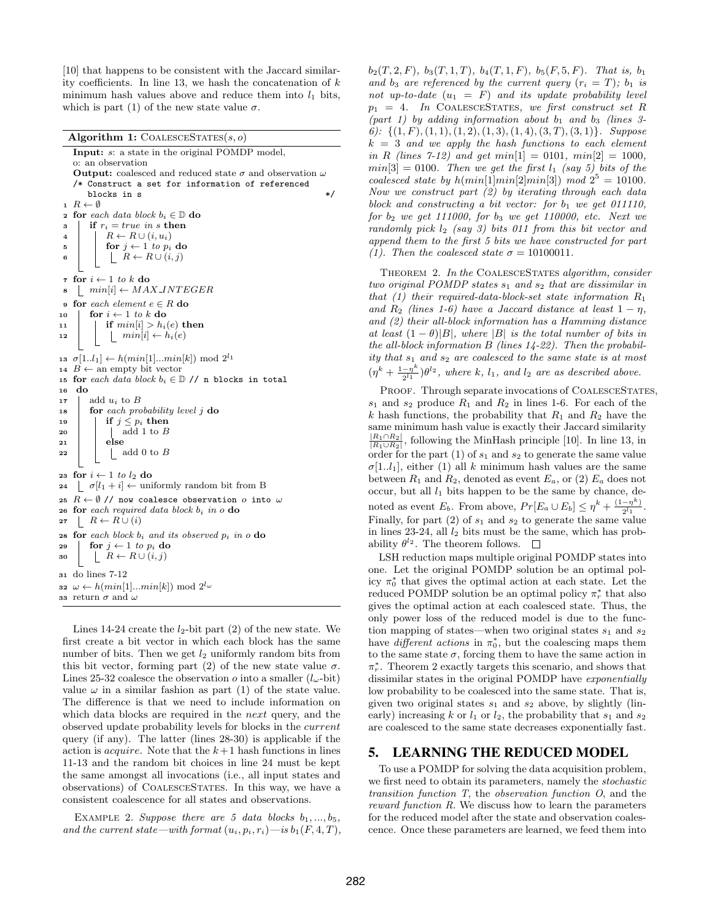[10] that happens to be consistent with the Jaccard similarity coefficients. In line 13, we hash the concatenation of  $k$ minimum hash values above and reduce them into  $l_1$  bits, which is part (1) of the new state value  $\sigma$ .

```
Algorithm 1: \text{CoALES}\text{CSTATES}(s, o)Input: s: a state in the original POMDP model,
    o: an observation
    Output: coalesced and reduced state \sigma and observation \omega/* Construct a set for information of referenced
        blocks in s
 1 R \leftarrow \emptyset2 for each data block b_i \in \mathbb{D} do
 \textbf{s} | if r_i = true \text{ in } s \text{ then}4 | R \leftarrow R \cup (i, u_i)5 | for j \leftarrow 1 to p_i do
 6 \begin{array}{|c|c|c|c|c|}\n\hline\n6 & 1 & R \leftarrow R \cup (i,j)\n\end{array}7 for i \leftarrow 1 to k do
 \sim \text{min}[i] \leftarrow \text{MAX} INTEGER
 9 for each element e \in R do
10 \vert for i \leftarrow 1 to k do
11 | if min[i] > h_i(e) then
12 \vert \vert \vert min[i] \leftarrow \hat{h}_i(e)13 \sigma[1..l_1] \leftarrow h(min[1]...min[k]) \mod 2^{l_1}14 B \leftarrow an empty bit vector
15 for each data block b_i \in \mathbb{D} // n blocks in total
16 do
17 add u_i to B
18 for each probability level j do
\begin{array}{c|c} \n\mathbf{19} & \n\end{array} if j \leq p_i then<br>
\mathbf{20} \begin{array}{c} \n\mathbf{18} & \n\mathbf{16} & \n\end{array}add 1 to B21 else
22 \vert \vert \vert add 0 to B
23 for i \leftarrow 1 to l_2 do
24 \sigma[l_1 + i] \leftarrow uniformly random bit from B
25 R \leftarrow \emptyset // now coalesce observation o into \omega26 for each required data block b_i in o do
27 \mid R \leftarrow R \cup (i)28 for each block b_i and its observed p_i in o do
29 \vert for j \leftarrow 1 to p_i do
30 \Box R \leftarrow R \cup (i, j)31 do lines 7-12
32 \omega \leftarrow h(min[1]...min[k]) \mod 2^{l_{\omega}}33 return \sigma and \omega
```
Lines 14-24 create the  $l_2$ -bit part (2) of the new state. We first create a bit vector in which each block has the same number of bits. Then we get  $l_2$  uniformly random bits from this bit vector, forming part (2) of the new state value  $\sigma$ . Lines 25-32 coalesce the observation o into a smaller  $(l_{\omega}$ -bit) value  $\omega$  in a similar fashion as part (1) of the state value. The difference is that we need to include information on which data blocks are required in the *next* query, and the observed update probability levels for blocks in the current query (if any). The latter (lines 28-30) is applicable if the action is *acquire*. Note that the  $k+1$  hash functions in lines 11-13 and the random bit choices in line 24 must be kept the same amongst all invocations (i.e., all input states and observations) of CoalesceStates. In this way, we have a consistent coalescence for all states and observations.

EXAMPLE 2. Suppose there are 5 data blocks  $b_1, ..., b_5$ , and the current state—with format  $(u_i, p_i, r_i)$ —is  $b_1(F, 4, T)$ ,  $b_2(T, 2, F), b_3(T, 1, T), b_4(T, 1, F), b_5(F, 5, F).$  That is,  $b_1$ and b<sub>3</sub> are referenced by the current query  $(r_i = T)$ ;  $b_1$  is not up-to-date  $(u_1 = F)$  and its update probability level  $p_1 = 4$ . In COALESCESTATES, we first construct set R (part 1) by adding information about  $b_1$  and  $b_3$  (lines 3-6):  $\{(1, F), (1, 1), (1, 2), (1, 3), (1, 4), (3, T), (3, 1)\}.$  Suppose  $k = 3$  and we apply the hash functions to each element in R (lines 7-12) and get  $min[1] = 0101$ ,  $min[2] = 1000$ ,  $min[3] = 0100$ . Then we get the first  $l_1$  (say 5) bits of the coalesced state by  $h(min[1]min[2]min[3])$  mod  $2^5 = 10100$ . Now we construct part (2) by iterating through each data block and constructing a bit vector: for  $b_1$  we get 011110, for  $b_2$  we get 111000, for  $b_3$  we get 110000, etc. Next we randomly pick  $l_2$  (say 3) bits 011 from this bit vector and append them to the first 5 bits we have constructed for part (1). Then the coalesced state  $\sigma = 10100011$ .

THEOREM 2. In the COALESCESTATES algorithm, consider two original POMDP states  $s_1$  and  $s_2$  that are dissimilar in that (1) their required-data-block-set state information  $R_1$ and  $R_2$  (lines 1-6) have a Jaccard distance at least  $1 - \eta$ , and (2) their all-block information has a Hamming distance at least  $(1 - \theta)|B|$ , where |B| is the total number of bits in the all-block information B (lines 14-22). Then the probability that  $s_1$  and  $s_2$  are coalesced to the same state is at most  $(\eta^k + \frac{1-\eta^k}{2l_1})$  $\frac{(-\eta^{\kappa})}{2^{l_1}}$ ) $\theta^{l_2}$ , where k, l<sub>1</sub>, and l<sub>2</sub> are as described above.

PROOF. Through separate invocations of COALESCESTATES,  $s_1$  and  $s_2$  produce  $R_1$  and  $R_2$  in lines 1-6. For each of the k hash functions, the probability that  $R_1$  and  $R_2$  have the same minimum hash value is exactly their Jaccard similarity  $\frac{|R_1 \cap R_2|}{|R_1 \cup R_2|}$ , following the MinHash principle [10]. In line 13, in order for the part  $(1)$  of  $s_1$  and  $s_2$  to generate the same value  $\sigma$ [1..l<sub>1</sub>], either (1) all k minimum hash values are the same between  $R_1$  and  $R_2$ , denoted as event  $E_a$ , or (2)  $E_a$  does not occur, but all  $l_1$  bits happen to be the same by chance, denoted as event  $E_b$ . From above,  $Pr[E_a \cup E_b] \leq \eta^k + \frac{(1-\eta^k)}{2^{l_1}}$  $\frac{-\eta^{n}}{2^{l_1}}$ . Finally, for part  $(2)$  of  $s_1$  and  $s_2$  to generate the same value in lines 23-24, all  $l_2$  bits must be the same, which has probability  $\theta^{l_2}$ . The theorem follows.

LSH reduction maps multiple original POMDP states into one. Let the original POMDP solution be an optimal policy  $\pi_0^*$  that gives the optimal action at each state. Let the reduced POMDP solution be an optimal policy  $\pi_r^*$  that also gives the optimal action at each coalesced state. Thus, the only power loss of the reduced model is due to the function mapping of states—when two original states  $s_1$  and  $s_2$ have different actions in  $\pi_0^*$ , but the coalescing maps them to the same state  $\sigma$ , forcing them to have the same action in  $\pi_r^*$ . Theorem 2 exactly targets this scenario, and shows that dissimilar states in the original POMDP have exponentially low probability to be coalesced into the same state. That is, given two original states  $s_1$  and  $s_2$  above, by slightly (linearly) increasing k or  $l_1$  or  $l_2$ , the probability that  $s_1$  and  $s_2$ are coalesced to the same state decreases exponentially fast.

#### 5. LEARNING THE REDUCED MODEL

To use a POMDP for solving the data acquisition problem, we first need to obtain its parameters, namely the stochastic transition function T, the observation function O, and the reward function R. We discuss how to learn the parameters for the reduced model after the state and observation coalescence. Once these parameters are learned, we feed them into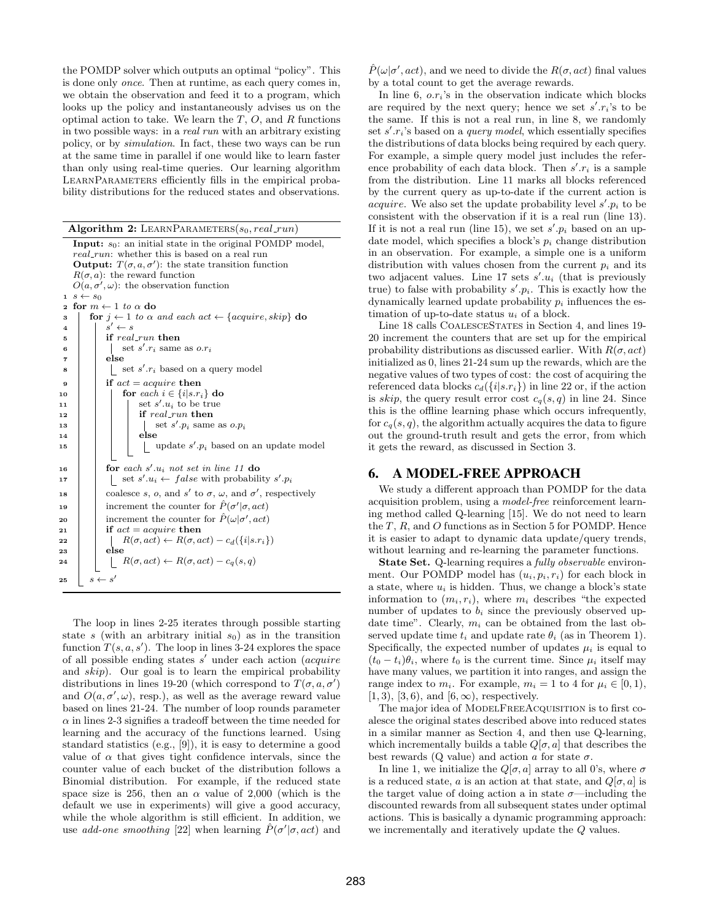the POMDP solver which outputs an optimal "policy". This is done only once. Then at runtime, as each query comes in, we obtain the observation and feed it to a program, which looks up the policy and instantaneously advises us on the optimal action to take. We learn the  $T$ ,  $O$ , and  $R$  functions in two possible ways: in a real run with an arbitrary existing policy, or by simulation. In fact, these two ways can be run at the same time in parallel if one would like to learn faster than only using real-time queries. Our learning algorithm LEARNPARAMETERS efficiently fills in the empirical probability distributions for the reduced states and observations.

Algorithm 2: LEARNPARAMETERS $(s_0, real\_run)$ Input:  $s_0$ : an initial state in the original POMDP model, real\_run: whether this is based on a real run **Output:**  $T(\sigma, a, \sigma')$ : the state transition function  $R(\sigma, a)$ : the reward function  $O(a, \sigma', \omega)$ : the observation function  $s \leftarrow s_0$  $\mathbf{a} \hspace{0.1cm}$  for  $m \leftarrow 1 \hspace{0.1cm} to \hspace{0.1cm} \alpha$  do 3 for  $j \leftarrow 1$  to  $\alpha$  and each act  $\leftarrow$  {acquire, skip} do 4  $\vert \quad s' \leftarrow s$  $\mathbf{5}$  if real run then  $\begin{array}{c|c|c|c} \mathbf{6} & \mathbf{1} & \mathbf{1} & \mathbf{1} & \mathbf{1} & \mathbf{1} & \mathbf{1} & \mathbf{1} & \mathbf{1} & \mathbf{1} & \mathbf{1} & \mathbf{1} & \mathbf{1} & \mathbf{1} & \mathbf{1} & \mathbf{1} & \mathbf{1} & \mathbf{1} & \mathbf{1} & \mathbf{1} & \mathbf{1} & \mathbf{1} & \mathbf{1} & \mathbf{1} & \mathbf{1} & \mathbf{1} & \mathbf{1} & \mathbf{1} & \mathbf{1} & \mathbf{$  $7$  else  $\mathbf{s}$  | | set s'. $r_i$  based on a query model  $9$  | if  $act = acquire$  then 10 **for** each  $i \in \{i|s.r_i\}$  do 11 | | set  $s'.u_i$  to be true <sup>12</sup> if real run then 13 | | | | set  $s'.p_i$  same as  $o.p_i$  $14$  | | else 15 | | | | update  $s'.p_i$  based on an update model  $\begin{array}{|c|c|c|c|c|}\n\hline\n\text{16} & \text{for each } s'.u_i \text{ not set in line 11 do}\n\hline\n\end{array}$ 17 | | set  $s'.u_i \leftarrow false$  with probability  $s'.p_i$ 18 | coalesce s, o, and s' to  $\sigma$ ,  $\omega$ , and  $\sigma'$ , respectively 19 increment the counter for  $\hat{P}(\sigma'|\sigma, act)$ 20 increment the counter for  $\hat{P}(\omega|\sigma', act)$ 21 if  $act = acquire$  then 22 R( $\sigma, act$ ) ← R( $\sigma, act$ ) –  $c_d({i|s.r_i})$ <sup>23</sup> else 24  $\Box$   $R(\sigma, act) \leftarrow R(\sigma, act) - c_q(s, q)$ 25  $s \leftarrow s'$ 

The loop in lines 2-25 iterates through possible starting state s (with an arbitrary initial  $s<sub>0</sub>$ ) as in the transition function  $T(s, a, s')$ . The loop in lines 3-24 explores the space of all possible ending states  $s'$  under each action (acquire and skip). Our goal is to learn the empirical probability distributions in lines 19-20 (which correspond to  $T(\sigma, a, \sigma')$ and  $O(a, \sigma', \omega)$ , resp.), as well as the average reward value based on lines 21-24. The number of loop rounds parameter  $\alpha$  in lines 2-3 signifies a tradeoff between the time needed for learning and the accuracy of the functions learned. Using standard statistics (e.g., [9]), it is easy to determine a good value of  $\alpha$  that gives tight confidence intervals, since the counter value of each bucket of the distribution follows a Binomial distribution. For example, if the reduced state space size is 256, then an  $\alpha$  value of 2,000 (which is the default we use in experiments) will give a good accuracy, while the whole algorithm is still efficient. In addition, we use *add-one smoothing* [22] when learning  $\hat{P}(\sigma'|\sigma, act)$  and

 $\hat{P}(\omega|\sigma', act)$ , and we need to divide the  $R(\sigma, act)$  final values by a total count to get the average rewards.

In line 6,  $o.r_i$ 's in the observation indicate which blocks are required by the next query; hence we set  $s'.r_i$ 's to be the same. If this is not a real run, in line 8, we randomly set  $s'$ . $r_i$ 's based on a *query model*, which essentially specifies the distributions of data blocks being required by each query. For example, a simple query model just includes the reference probability of each data block. Then  $s'.r_i$  is a sample from the distribution. Line 11 marks all blocks referenced by the current query as up-to-date if the current action is *acquire*. We also set the update probability level  $s'.p_i$  to be consistent with the observation if it is a real run (line 13). If it is not a real run (line 15), we set  $s'.p_i$  based on an update model, which specifies a block's  $p_i$  change distribution in an observation. For example, a simple one is a uniform distribution with values chosen from the current  $p_i$  and its two adjacent values. Line 17 sets  $s'.u_i$  (that is previously true) to false with probability  $s'.p_i$ . This is exactly how the dynamically learned update probability  $p_i$  influences the estimation of up-to-date status  $u_i$  of a block.

Line 18 calls CoalesceStates in Section 4, and lines 19- 20 increment the counters that are set up for the empirical probability distributions as discussed earlier. With  $R(\sigma, act)$ initialized as 0, lines 21-24 sum up the rewards, which are the negative values of two types of cost: the cost of acquiring the referenced data blocks  $c_d({i|s.r_i})$  in line 22 or, if the action is skip, the query result error cost  $c_q(s, q)$  in line 24. Since this is the offline learning phase which occurs infrequently, for  $c_q(s, q)$ , the algorithm actually acquires the data to figure out the ground-truth result and gets the error, from which it gets the reward, as discussed in Section 3.

## 6. A MODEL-FREE APPROACH

We study a different approach than POMDP for the data acquisition problem, using a model-free reinforcement learning method called Q-learning [15]. We do not need to learn the  $T$ ,  $R$ , and  $O$  functions as in Section 5 for POMDP. Hence it is easier to adapt to dynamic data update/query trends, without learning and re-learning the parameter functions.

State Set. Q-learning requires a *fully observable* environment. Our POMDP model has  $(u_i, p_i, r_i)$  for each block in a state, where  $u_i$  is hidden. Thus, we change a block's state information to  $(m_i, r_i)$ , where  $m_i$  describes "the expected number of updates to  $b_i$  since the previously observed update time". Clearly,  $m_i$  can be obtained from the last observed update time  $t_i$  and update rate  $\theta_i$  (as in Theorem 1). Specifically, the expected number of updates  $\mu_i$  is equal to  $(t_0 - t_i)\theta_i$ , where  $t_0$  is the current time. Since  $\mu_i$  itself may have many values, we partition it into ranges, and assign the range index to  $m_i$ . For example,  $m_i = 1$  to 4 for  $\mu_i \in [0, 1)$ ,  $[1, 3), [3, 6),$  and  $[6, \infty)$ , respectively.

The major idea of MODELFREEACQUISITION is to first coalesce the original states described above into reduced states in a similar manner as Section 4, and then use Q-learning, which incrementally builds a table  $Q[\sigma, a]$  that describes the best rewards (Q value) and action a for state  $\sigma$ .

In line 1, we initialize the  $Q[\sigma, a]$  array to all 0's, where  $\sigma$ is a reduced state, a is an action at that state, and  $Q[\sigma, a]$  is the target value of doing action a in state  $\sigma$ —including the discounted rewards from all subsequent states under optimal actions. This is basically a dynamic programming approach: we incrementally and iteratively update the Q values.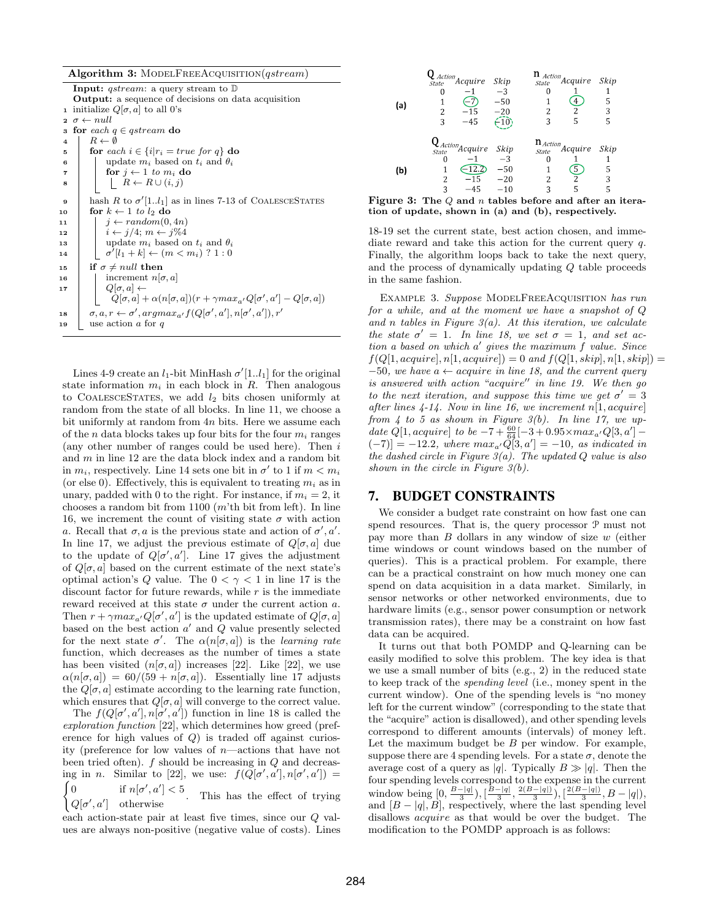Algorithm 3: MODELFREEACQUISITION( $astream$ )

**Input:** *qstream*: a query stream to  $D$ Output: a sequence of decisions on data acquisition 1 initialize  $Q[\sigma, a]$  to all 0's 2  $\sigma \leftarrow null$ 3 for each  $q \inq$ stream do 4 |  $R \leftarrow \emptyset$ 5 for each  $i \in \{i | r_i = true \ for \ q\}$  do 6 | update  $m_i$  based on  $t_i$  and  $\theta_i$ 7 | for  $j \leftarrow 1$  to  $m_i$  do 8 | |  $R \leftarrow R \cup (i, j)$ 9 hash R to  $\sigma'[1..l_1]$  as in lines 7-13 of COALESCESTATES 10  $\int$  for  $k \leftarrow 1$  to  $l_2$  do 11 |  $j \leftarrow random(0, 4n)$ 12  $i \leftarrow j/4; m \leftarrow j\%4$ 13 | update  $m_i$  based on  $t_i$  and  $\theta_i$ 14  $\sigma^{7}[l_1+k] \leftarrow (m < m_i)$  ? 1 : 0 15 if  $\sigma \neq null$  then 16 | increment  $n[\sigma, a]$ 17  $| Q[\sigma, a] \leftarrow$  $Q[\sigma, a] + \alpha(n[\sigma, a])(r + \gamma max_{a'} Q[\sigma', a'] - Q[\sigma, a])$ 18  $\sigma, a, r \leftarrow \sigma', argmax_{a'} f(Q[\sigma', a'], n[\sigma', a']), r'$ 19 | use action a for  $q$ 

Lines 4-9 create an  $l_1$ -bit MinHash  $\sigma'[1..l_1]$  for the original state information  $m_i$  in each block in R. Then analogous to COALESCESTATES, we add  $l_2$  bits chosen uniformly at random from the state of all blocks. In line 11, we choose a bit uniformly at random from 4n bits. Here we assume each of the n data blocks takes up four bits for the four  $m_i$  ranges (any other number of ranges could be used here). Then  $i$ and  $m$  in line 12 are the data block index and a random bit in  $m_i$ , respectively. Line 14 sets one bit in  $\sigma'$  to 1 if  $m < m_i$ (or else 0). Effectively, this is equivalent to treating  $m_i$  as in unary, padded with 0 to the right. For instance, if  $m_i = 2$ , it chooses a random bit from 1100  $(m<sup>2</sup>th)$  bit from left). In line 16, we increment the count of visiting state  $\sigma$  with action a. Recall that  $\sigma$ , a is the previous state and action of  $\sigma'$ , a'. In line 17, we adjust the previous estimate of  $Q[\sigma, a]$  due to the update of  $Q[\sigma', a']$ . Line 17 gives the adjustment of  $Q[\sigma, a]$  based on the current estimate of the next state's optimal action's Q value. The  $0 < \gamma < 1$  in line 17 is the discount factor for future rewards, while  $r$  is the immediate reward received at this state  $\sigma$  under the current action a. Then  $r + \gamma max_{a'} Q[\sigma', a']$  is the updated estimate of  $Q[\sigma, a]$ based on the best action  $a'$  and  $\overline{Q}$  value presently selected for the next state  $\sigma'$ . The  $\alpha(n[\sigma, a])$  is the learning rate function, which decreases as the number of times a state has been visited  $(n[\sigma, a])$  increases [22]. Like [22], we use  $\alpha(n[\sigma, a]) = 60/(59 + n[\sigma, a])$ . Essentially line 17 adjusts the  $Q[\sigma, a]$  estimate according to the learning rate function, which ensures that  $Q[\sigma, a]$  will converge to the correct value.

The  $f(Q[\sigma', a'], n[\sigma', a'])$  function in line 18 is called the exploration function [22], which determines how greed (preference for high values of  $Q$ ) is traded off against curiosity (preference for low values of  $n$ —actions that have not been tried often).  $f$  should be increasing in  $Q$  and decreasing in *n*. Similar to [22], we use:  $f(Q[\sigma', a'], n[\sigma', a']) =$  $\left(0\right)$ 0 if  $n[\sigma', a'] < 5$ . This has the effect of trying  $Q[\sigma', a']$  otherwise

 $Q[\sigma',a']$ each action-state pair at least five times, since our Q values are always non-positive (negative value of costs). Lines



Figure 3: The  $Q$  and  $n$  tables before and after an iteration of update, shown in (a) and (b), respectively.

18-19 set the current state, best action chosen, and immediate reward and take this action for the current query q. Finally, the algorithm loops back to take the next query, and the process of dynamically updating Q table proceeds in the same fashion.

Example 3. Suppose ModelFreeAcquisition has run for a while, and at the moment we have a snapshot of Q and n tables in Figure  $3(a)$ . At this iteration, we calculate the state  $\sigma' = 1$ . In line 18, we set  $\sigma = 1$ , and set action a based on which  $a'$  gives the maximum  $f$  value. Since  $f(Q[1, acquire], n[1, acquire]) = 0$  and  $f(Q[1, skip], n[1, skip]) =$  $-50$ , we have a  $\leftarrow$  acquire in line 18, and the current query is answered with action "acquire" in line  $19$ . We then go to the next iteration, and suppose this time we get  $\sigma' = 3$ after lines  $4-14$ . Now in line 16, we increment  $n[1, \text{acquire}]$ from  $4$  to 5 as shown in Figure 3(b). In line 17, we update  $Q[1, \text{acquire}]$  to be  $-7 + \frac{60}{64}[-3 + 0.95 \times \text{max}_{a'} Q[3, a'] (-7)$ ] = -12.2, where  $max_{a'}Q[3, a'] = -10$ , as indicated in the dashed circle in Figure  $3(a)$ . The updated Q value is also shown in the circle in Figure  $3(b)$ .

# 7. BUDGET CONSTRAINTS

We consider a budget rate constraint on how fast one can spend resources. That is, the query processor P must not pay more than B dollars in any window of size w (either time windows or count windows based on the number of queries). This is a practical problem. For example, there can be a practical constraint on how much money one can spend on data acquisition in a data market. Similarly, in sensor networks or other networked environments, due to hardware limits (e.g., sensor power consumption or network transmission rates), there may be a constraint on how fast data can be acquired.

It turns out that both POMDP and Q-learning can be easily modified to solve this problem. The key idea is that we use a small number of bits (e.g., 2) in the reduced state to keep track of the spending level (i.e., money spent in the current window). One of the spending levels is "no money left for the current window" (corresponding to the state that the "acquire" action is disallowed), and other spending levels correspond to different amounts (intervals) of money left. Let the maximum budget be  $B$  per window. For example, suppose there are 4 spending levels. For a state  $\sigma$ , denote the average cost of a query as |q|. Typically  $B \gg |q|$ . Then the four spending levels correspond to the expense in the current window being  $[0, \frac{B-|q|}{3}), [\frac{B-|q|}{3}, \frac{2(B-|q|)}{3}), [\frac{2(B-|q|)}{3}, B-|q|),$ and  $[B - |q|, B]$ , respectively, where the last spending level disallows acquire as that would be over the budget. The modification to the POMDP approach is as follows: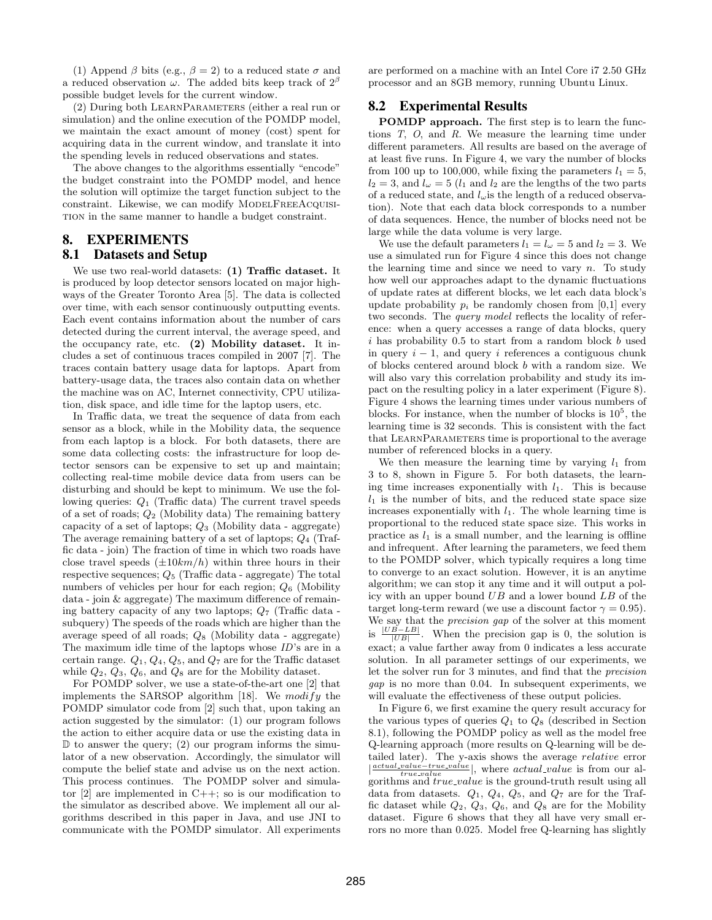(1) Append  $\beta$  bits (e.g.,  $\beta = 2$ ) to a reduced state  $\sigma$  and a reduced observation  $\omega$ . The added bits keep track of  $2^{\beta}$ possible budget levels for the current window.

(2) During both LearnParameters (either a real run or simulation) and the online execution of the POMDP model, we maintain the exact amount of money (cost) spent for acquiring data in the current window, and translate it into the spending levels in reduced observations and states.

The above changes to the algorithms essentially "encode" the budget constraint into the POMDP model, and hence the solution will optimize the target function subject to the constraint. Likewise, we can modify MODELFREEACQUISItion in the same manner to handle a budget constraint.

# 8. EXPERIMENTS 8.1 Datasets and Setup

We use two real-world datasets: (1) Traffic dataset. It is produced by loop detector sensors located on major highways of the Greater Toronto Area [5]. The data is collected over time, with each sensor continuously outputting events. Each event contains information about the number of cars detected during the current interval, the average speed, and the occupancy rate, etc. (2) Mobility dataset. It includes a set of continuous traces compiled in 2007 [7]. The traces contain battery usage data for laptops. Apart from battery-usage data, the traces also contain data on whether the machine was on AC, Internet connectivity, CPU utilization, disk space, and idle time for the laptop users, etc.

In Traffic data, we treat the sequence of data from each sensor as a block, while in the Mobility data, the sequence from each laptop is a block. For both datasets, there are some data collecting costs: the infrastructure for loop detector sensors can be expensive to set up and maintain; collecting real-time mobile device data from users can be disturbing and should be kept to minimum. We use the following queries:  $Q_1$  (Traffic data) The current travel speeds of a set of roads;  $Q_2$  (Mobility data) The remaining battery capacity of a set of laptops;  $Q_3$  (Mobility data - aggregate) The average remaining battery of a set of laptops;  $Q_4$  (Traffic data - join) The fraction of time in which two roads have close travel speeds  $(\pm 10km/h)$  within three hours in their respective sequences;  $Q_5$  (Traffic data - aggregate) The total numbers of vehicles per hour for each region;  $Q_6$  (Mobility data - join & aggregate) The maximum difference of remaining battery capacity of any two laptops;  $Q_7$  (Traffic data subquery) The speeds of the roads which are higher than the average speed of all roads; Q<sup>8</sup> (Mobility data - aggregate) The maximum idle time of the laptops whose ID's are in a certain range.  $Q_1$ ,  $Q_4$ ,  $Q_5$ , and  $Q_7$  are for the Traffic dataset while  $Q_2$ ,  $Q_3$ ,  $Q_6$ , and  $Q_8$  are for the Mobility dataset.

For POMDP solver, we use a state-of-the-art one [2] that implements the SARSOP algorithm [18]. We  $modify$  the POMDP simulator code from [2] such that, upon taking an action suggested by the simulator: (1) our program follows the action to either acquire data or use the existing data in  $\mathbb D$  to answer the query; (2) our program informs the simulator of a new observation. Accordingly, the simulator will compute the belief state and advise us on the next action. This process continues. The POMDP solver and simulator  $[2]$  are implemented in C++; so is our modification to the simulator as described above. We implement all our algorithms described in this paper in Java, and use JNI to communicate with the POMDP simulator. All experiments are performed on a machine with an Intel Core i7 2.50 GHz processor and an 8GB memory, running Ubuntu Linux.

## 8.2 Experimental Results

POMDP approach. The first step is to learn the functions T, O, and R. We measure the learning time under different parameters. All results are based on the average of at least five runs. In Figure 4, we vary the number of blocks from 100 up to 100,000, while fixing the parameters  $l_1 = 5$ ,  $l_2 = 3$ , and  $l_\omega = 5$  ( $l_1$  and  $l_2$  are the lengths of the two parts of a reduced state, and  $l_{\omega}$  is the length of a reduced observation). Note that each data block corresponds to a number of data sequences. Hence, the number of blocks need not be large while the data volume is very large.

We use the default parameters  $l_1 = l_\omega = 5$  and  $l_2 = 3$ . We use a simulated run for Figure 4 since this does not change the learning time and since we need to vary  $n$ . To study how well our approaches adapt to the dynamic fluctuations of update rates at different blocks, we let each data block's update probability  $p_i$  be randomly chosen from [0,1] every two seconds. The query model reflects the locality of reference: when a query accesses a range of data blocks, query  $i$  has probability 0.5 to start from a random block  $b$  used in query  $i - 1$ , and query i references a contiguous chunk of blocks centered around block b with a random size. We will also vary this correlation probability and study its impact on the resulting policy in a later experiment (Figure 8). Figure 4 shows the learning times under various numbers of blocks. For instance, when the number of blocks is  $10<sup>5</sup>$ , the learning time is 32 seconds. This is consistent with the fact that LearnParameters time is proportional to the average number of referenced blocks in a query.

We then measure the learning time by varying  $l_1$  from 3 to 8, shown in Figure 5. For both datasets, the learning time increases exponentially with  $l_1$ . This is because  $l_1$  is the number of bits, and the reduced state space size increases exponentially with  $l_1$ . The whole learning time is proportional to the reduced state space size. This works in practice as  $l_1$  is a small number, and the learning is offline and infrequent. After learning the parameters, we feed them to the POMDP solver, which typically requires a long time to converge to an exact solution. However, it is an anytime algorithm; we can stop it any time and it will output a policy with an upper bound  $UB$  and a lower bound  $LB$  of the target long-term reward (we use a discount factor  $\gamma = 0.95$ ). We say that the *precision gap* of the solver at this moment is  $\frac{|UB - LB|}{|UB|}$ . When the precision gap is 0, the solution is exact; a value farther away from 0 indicates a less accurate solution. In all parameter settings of our experiments, we let the solver run for 3 minutes, and find that the precision gap is no more than 0.04. In subsequent experiments, we will evaluate the effectiveness of these output policies.

In Figure 6, we first examine the query result accuracy for the various types of queries  $Q_1$  to  $Q_8$  (described in Section 8.1), following the POMDP policy as well as the model free Q-learning approach (more results on Q-learning will be detailed later). The y-axis shows the average relative error  $\vert \frac{actual\_value - true\_value}{true\_value} \vert$ , where *actual\_value* is from our algorithms and  $true\_value$  is the ground-truth result using all data from datasets.  $Q_1$ ,  $Q_4$ ,  $Q_5$ , and  $Q_7$  are for the Traffic dataset while  $Q_2$ ,  $Q_3$ ,  $Q_6$ , and  $Q_8$  are for the Mobility dataset. Figure 6 shows that they all have very small errors no more than 0.025. Model free Q-learning has slightly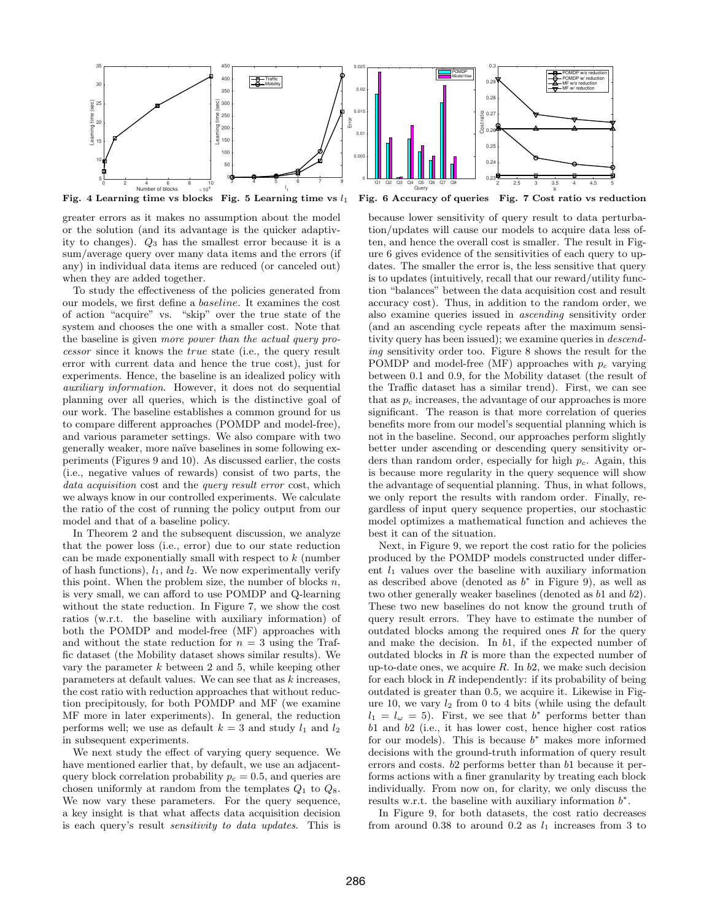

greater errors as it makes no assumption about the model or the solution (and its advantage is the quicker adaptivity to changes).  $Q_3$  has the smallest error because it is a sum/average query over many data items and the errors (if any) in individual data items are reduced (or canceled out) when they are added together.

To study the effectiveness of the policies generated from our models, we first define a baseline. It examines the cost of action "acquire" vs. "skip" over the true state of the system and chooses the one with a smaller cost. Note that the baseline is given more power than the actual query processor since it knows the true state (i.e., the query result error with current data and hence the true cost), just for experiments. Hence, the baseline is an idealized policy with auxiliary information. However, it does not do sequential planning over all queries, which is the distinctive goal of our work. The baseline establishes a common ground for us to compare different approaches (POMDP and model-free), and various parameter settings. We also compare with two generally weaker, more na¨ıve baselines in some following experiments (Figures 9 and 10). As discussed earlier, the costs (i.e., negative values of rewards) consist of two parts, the data acquisition cost and the query result error cost, which we always know in our controlled experiments. We calculate the ratio of the cost of running the policy output from our model and that of a baseline policy.

In Theorem 2 and the subsequent discussion, we analyze that the power loss (i.e., error) due to our state reduction can be made exponentially small with respect to k (number of hash functions),  $l_1$ , and  $l_2$ . We now experimentally verify this point. When the problem size, the number of blocks  $n$ , is very small, we can afford to use POMDP and Q-learning without the state reduction. In Figure 7, we show the cost ratios (w.r.t. the baseline with auxiliary information) of both the POMDP and model-free (MF) approaches with and without the state reduction for  $n = 3$  using the Traffic dataset (the Mobility dataset shows similar results). We vary the parameter  $k$  between 2 and 5, while keeping other parameters at default values. We can see that as k increases, the cost ratio with reduction approaches that without reduction precipitously, for both POMDP and MF (we examine MF more in later experiments). In general, the reduction performs well; we use as default  $k = 3$  and study  $l_1$  and  $l_2$ in subsequent experiments.

We next study the effect of varying query sequence. We have mentioned earlier that, by default, we use an adjacentquery block correlation probability  $p_c = 0.5$ , and queries are chosen uniformly at random from the templates  $Q_1$  to  $Q_8$ . We now vary these parameters. For the query sequence, a key insight is that what affects data acquisition decision is each query's result sensitivity to data updates. This is

Fig. 4 Learning time vs blocks Fig. 5 Learning time vs  $l_1$  Fig. 6 Accuracy of queries Fig. 7 Cost ratio vs reduction

because lower sensitivity of query result to data perturbation/updates will cause our models to acquire data less often, and hence the overall cost is smaller. The result in Figure 6 gives evidence of the sensitivities of each query to updates. The smaller the error is, the less sensitive that query is to updates (intuitively, recall that our reward/utility function "balances" between the data acquisition cost and result accuracy cost). Thus, in addition to the random order, we also examine queries issued in ascending sensitivity order (and an ascending cycle repeats after the maximum sensitivity query has been issued); we examine queries in *descend*ing sensitivity order too. Figure 8 shows the result for the POMDP and model-free (MF) approaches with  $p_c$  varying between 0.1 and 0.9, for the Mobility dataset (the result of the Traffic dataset has a similar trend). First, we can see that as  $p_c$  increases, the advantage of our approaches is more significant. The reason is that more correlation of queries benefits more from our model's sequential planning which is not in the baseline. Second, our approaches perform slightly better under ascending or descending query sensitivity orders than random order, especially for high  $p_c$ . Again, this is because more regularity in the query sequence will show the advantage of sequential planning. Thus, in what follows, we only report the results with random order. Finally, regardless of input query sequence properties, our stochastic model optimizes a mathematical function and achieves the best it can of the situation.

Next, in Figure 9, we report the cost ratio for the policies produced by the POMDP models constructed under different  $l_1$  values over the baseline with auxiliary information as described above (denoted as  $b^*$  in Figure 9), as well as two other generally weaker baselines (denoted as  $b1$  and  $b2$ ). These two new baselines do not know the ground truth of query result errors. They have to estimate the number of outdated blocks among the required ones  $R$  for the query and make the decision. In b1, if the expected number of outdated blocks in  $R$  is more than the expected number of up-to-date ones, we acquire  $R$ . In  $b2$ , we make such decision for each block in  $R$  independently: if its probability of being outdated is greater than 0.5, we acquire it. Likewise in Figure 10, we vary  $l_2$  from 0 to 4 bits (while using the default  $l_1 = l_\omega = 5$ . First, we see that  $b^*$  performs better than b1 and b2 (i.e., it has lower cost, hence higher cost ratios for our models). This is because  $b^*$  makes more informed decisions with the ground-truth information of query result errors and costs. b2 performs better than b1 because it performs actions with a finer granularity by treating each block individually. From now on, for clarity, we only discuss the results w.r.t. the baseline with auxiliary information  $b^*$ .

In Figure 9, for both datasets, the cost ratio decreases from around 0.38 to around 0.2 as  $l_1$  increases from 3 to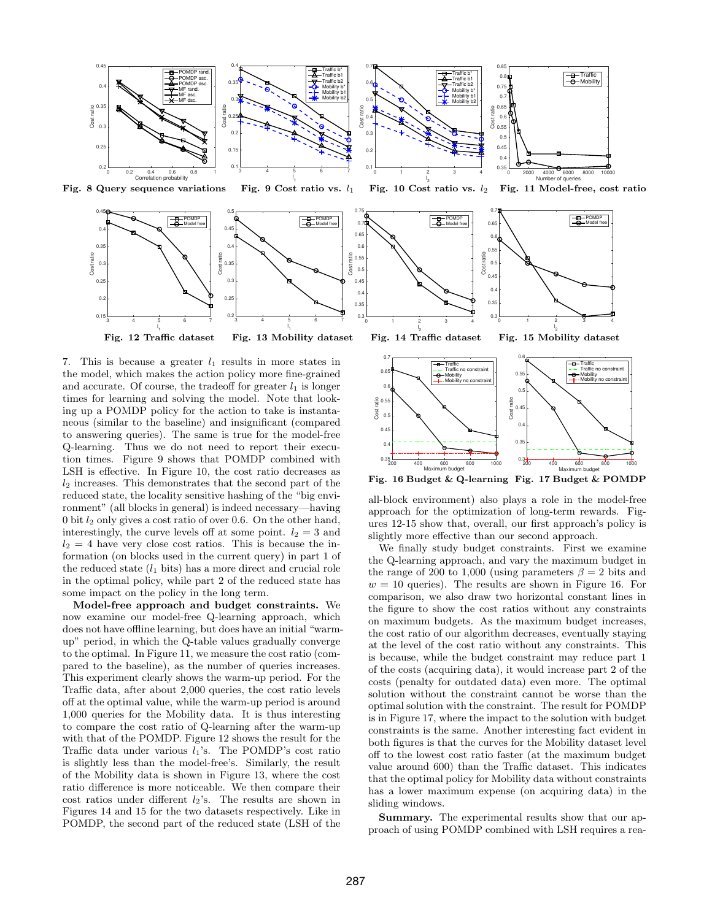

7. This is because a greater  $l_1$  results in more states in the model, which makes the action policy more fine-grained and accurate. Of course, the tradeoff for greater  $l_1$  is longer times for learning and solving the model. Note that looking up a POMDP policy for the action to take is instantaneous (similar to the baseline) and insignificant (compared to answering queries). The same is true for the model-free Q-learning. Thus we do not need to report their execution times. Figure 9 shows that POMDP combined with LSH is effective. In Figure 10, the cost ratio decreases as  $l_2$  increases. This demonstrates that the second part of the reduced state, the locality sensitive hashing of the "big environment" (all blocks in general) is indeed necessary—having 0 bit  $l_2$  only gives a cost ratio of over 0.6. On the other hand, interestingly, the curve levels off at some point.  $l_2 = 3$  and  $l_2 = 4$  have very close cost ratios. This is because the information (on blocks used in the current query) in part 1 of the reduced state  $(l_1 \text{ bits})$  has a more direct and crucial role in the optimal policy, while part 2 of the reduced state has some impact on the policy in the long term.

Model-free approach and budget constraints. We now examine our model-free Q-learning approach, which does not have offline learning, but does have an initial "warmup" period, in which the Q-table values gradually converge to the optimal. In Figure 11, we measure the cost ratio (compared to the baseline), as the number of queries increases. This experiment clearly shows the warm-up period. For the Traffic data, after about 2,000 queries, the cost ratio levels off at the optimal value, while the warm-up period is around 1,000 queries for the Mobility data. It is thus interesting to compare the cost ratio of Q-learning after the warm-up with that of the POMDP. Figure 12 shows the result for the Traffic data under various  $l_1$ 's. The POMDP's cost ratio is slightly less than the model-free's. Similarly, the result of the Mobility data is shown in Figure 13, where the cost ratio difference is more noticeable. We then compare their cost ratios under different  $l_2$ 's. The results are shown in Figures 14 and 15 for the two datasets respectively. Like in POMDP, the second part of the reduced state (LSH of the



Fig. 16 Budget & Q-learning Fig. 17 Budget & POMDP

all-block environment) also plays a role in the model-free approach for the optimization of long-term rewards. Figures 12-15 show that, overall, our first approach's policy is slightly more effective than our second approach.

We finally study budget constraints. First we examine the Q-learning approach, and vary the maximum budget in the range of 200 to 1,000 (using parameters  $\beta = 2$  bits and  $w = 10$  queries). The results are shown in Figure 16. For comparison, we also draw two horizontal constant lines in the figure to show the cost ratios without any constraints on maximum budgets. As the maximum budget increases, the cost ratio of our algorithm decreases, eventually staying at the level of the cost ratio without any constraints. This is because, while the budget constraint may reduce part 1 of the costs (acquiring data), it would increase part 2 of the costs (penalty for outdated data) even more. The optimal solution without the constraint cannot be worse than the optimal solution with the constraint. The result for POMDP is in Figure 17, where the impact to the solution with budget constraints is the same. Another interesting fact evident in both figures is that the curves for the Mobility dataset level off to the lowest cost ratio faster (at the maximum budget value around 600) than the Traffic dataset. This indicates that the optimal policy for Mobility data without constraints has a lower maximum expense (on acquiring data) in the sliding windows.

Summary. The experimental results show that our approach of using POMDP combined with LSH requires a rea